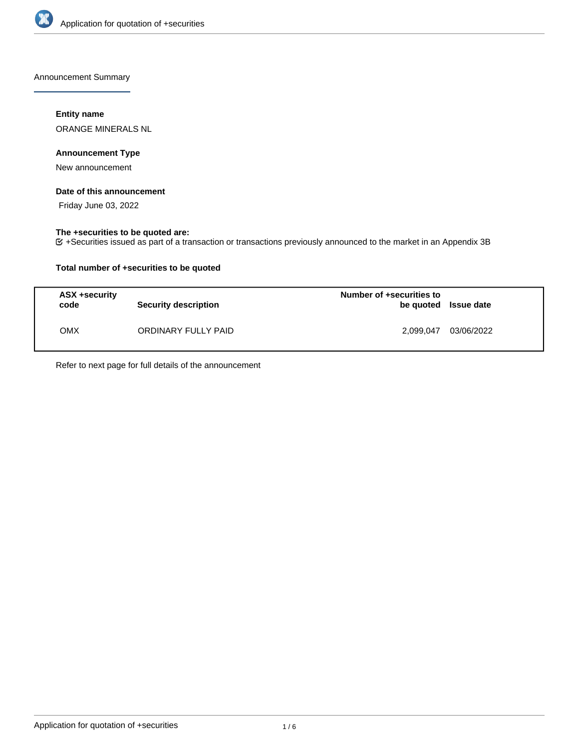

Announcement Summary

## **Entity name**

ORANGE MINERALS NL

### **Announcement Type**

New announcement

#### **Date of this announcement**

Friday June 03, 2022

### **The +securities to be quoted are:**

+Securities issued as part of a transaction or transactions previously announced to the market in an Appendix 3B

## **Total number of +securities to be quoted**

| ASX +security<br>code | <b>Security description</b> | Number of +securities to<br>be quoted Issue date |            |
|-----------------------|-----------------------------|--------------------------------------------------|------------|
| OMX                   | ORDINARY FULLY PAID         | 2.099.047                                        | 03/06/2022 |

Refer to next page for full details of the announcement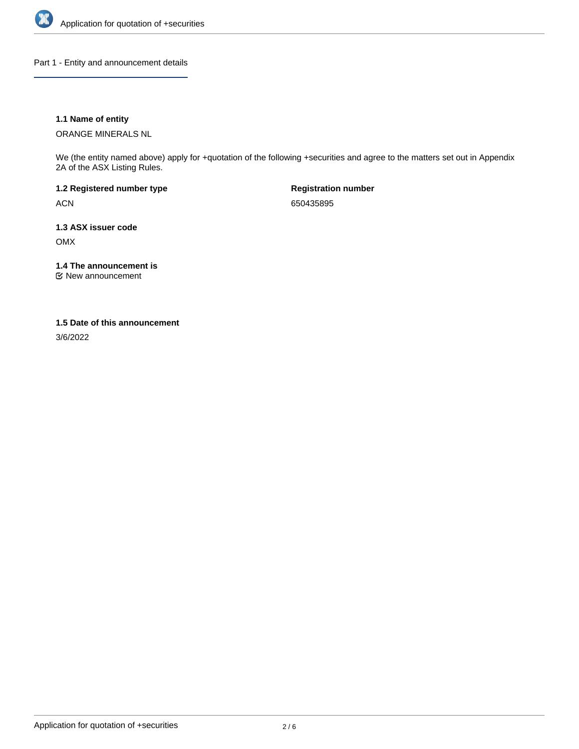

Part 1 - Entity and announcement details

## **1.1 Name of entity**

ORANGE MINERALS NL

We (the entity named above) apply for +quotation of the following +securities and agree to the matters set out in Appendix 2A of the ASX Listing Rules.

**1.2 Registered number type** ACN

**Registration number** 650435895

**1.3 ASX issuer code** OMX

**1.4 The announcement is**

New announcement

#### **1.5 Date of this announcement**

3/6/2022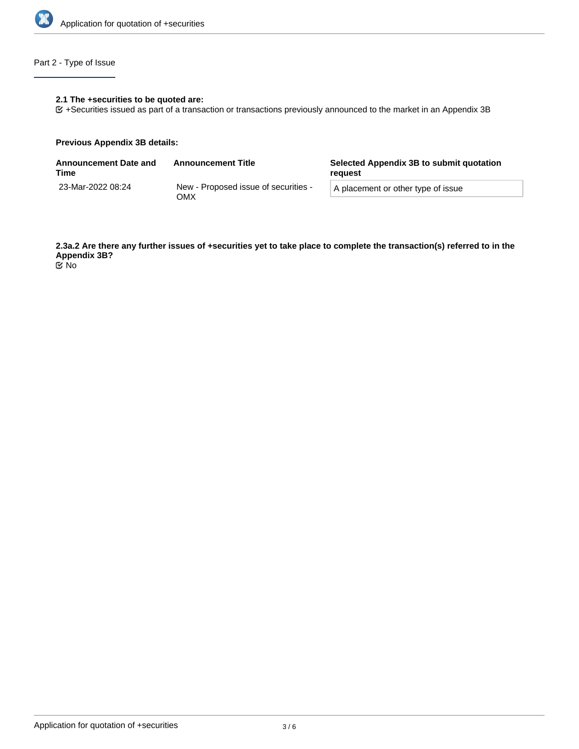

# Part 2 - Type of Issue

## **2.1 The +securities to be quoted are:**

+Securities issued as part of a transaction or transactions previously announced to the market in an Appendix 3B

#### **Previous Appendix 3B details:**

| <b>Announcement Date and</b><br>Time | <b>Announcement Title</b>                   | Selected Appendix 3B to submit quotation<br>reguest |  |
|--------------------------------------|---------------------------------------------|-----------------------------------------------------|--|
| 23-Mar-2022 08:24                    | New - Proposed issue of securities -<br>ОМХ | A placement or other type of issue                  |  |

**2.3a.2 Are there any further issues of +securities yet to take place to complete the transaction(s) referred to in the Appendix 3B?** No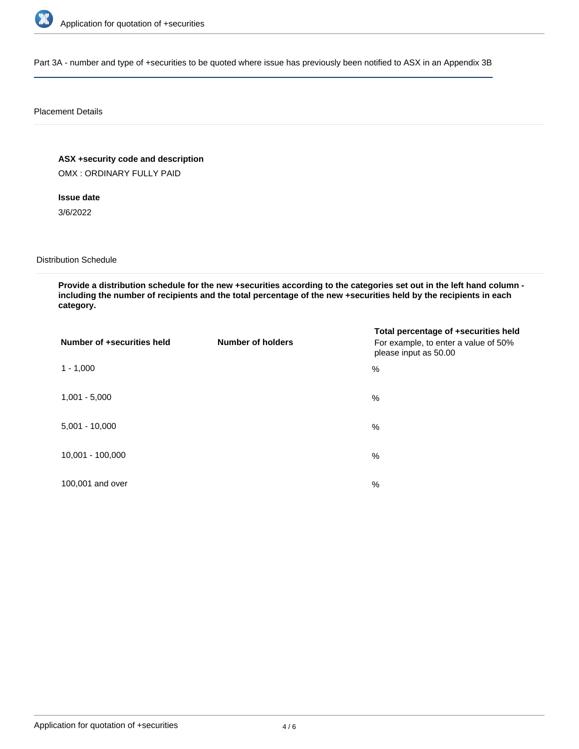

Part 3A - number and type of +securities to be quoted where issue has previously been notified to ASX in an Appendix 3B

#### Placement Details

**ASX +security code and description**

OMX : ORDINARY FULLY PAID

**Issue date**

3/6/2022

Distribution Schedule

**Provide a distribution schedule for the new +securities according to the categories set out in the left hand column including the number of recipients and the total percentage of the new +securities held by the recipients in each category.**

| Number of +securities held | <b>Number of holders</b> | Total percentage of +securities held<br>For example, to enter a value of 50%<br>please input as 50.00 |
|----------------------------|--------------------------|-------------------------------------------------------------------------------------------------------|
| $1 - 1,000$                |                          | %                                                                                                     |
| $1,001 - 5,000$            |                          | $\%$                                                                                                  |
| $5,001 - 10,000$           |                          | %                                                                                                     |
| 10,001 - 100,000           |                          | $\frac{0}{0}$                                                                                         |
| 100,001 and over           |                          | $\%$                                                                                                  |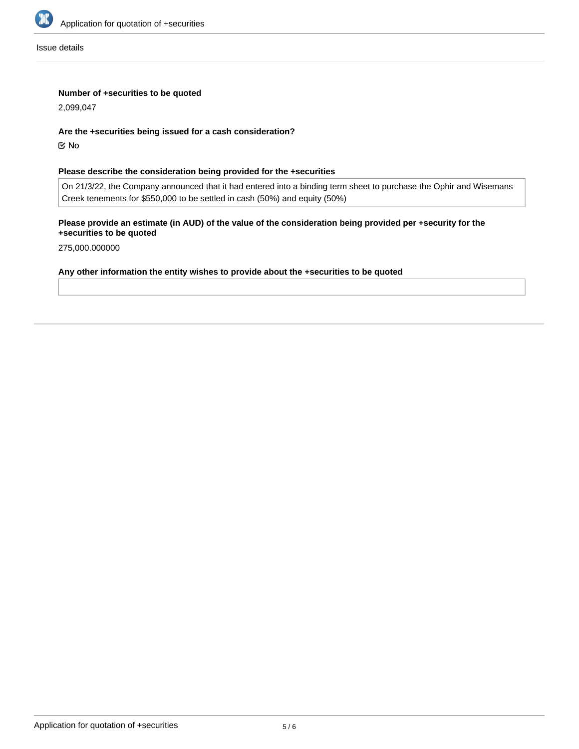

Issue details

## **Number of +securities to be quoted**

2,099,047

#### **Are the +securities being issued for a cash consideration?**

No

## **Please describe the consideration being provided for the +securities**

On 21/3/22, the Company announced that it had entered into a binding term sheet to purchase the Ophir and Wisemans Creek tenements for \$550,000 to be settled in cash (50%) and equity (50%)

# **Please provide an estimate (in AUD) of the value of the consideration being provided per +security for the +securities to be quoted**

275,000.000000

#### **Any other information the entity wishes to provide about the +securities to be quoted**